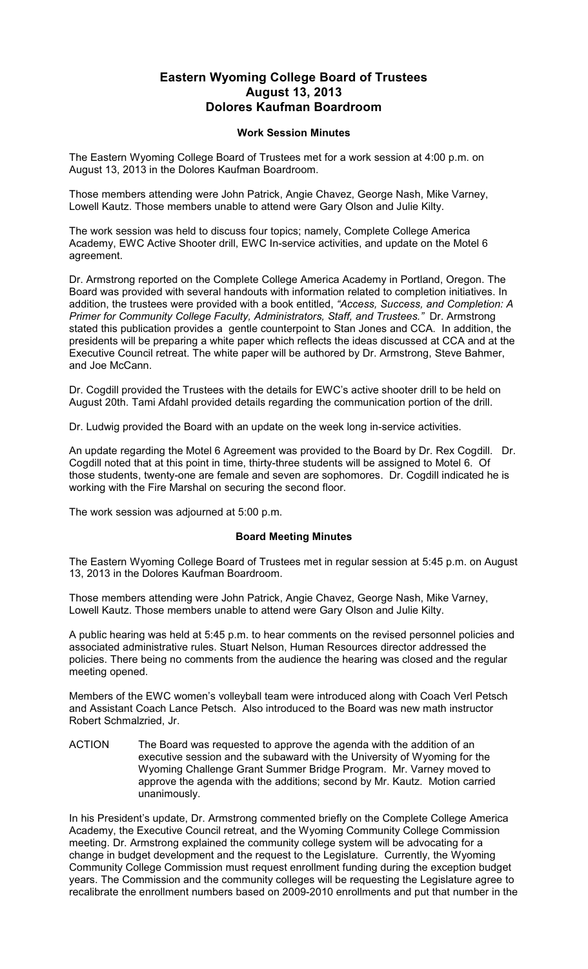## **Eastern Wyoming College Board of Trustees August 13, 2013 Dolores Kaufman Boardroom**

## **Work Session Minutes**

The Eastern Wyoming College Board of Trustees met for a work session at 4:00 p.m. on August 13, 2013 in the Dolores Kaufman Boardroom.

Those members attending were John Patrick, Angie Chavez, George Nash, Mike Varney, Lowell Kautz. Those members unable to attend were Gary Olson and Julie Kilty.

The work session was held to discuss four topics; namely, Complete College America Academy, EWC Active Shooter drill, EWC In-service activities, and update on the Motel 6 agreement.

Dr. Armstrong reported on the Complete College America Academy in Portland, Oregon. The Board was provided with several handouts with information related to completion initiatives. In addition, the trustees were provided with a book entitled, *"Access, Success, and Completion: A Primer for Community College Faculty, Administrators, Staff, and Trustees."* Dr. Armstrong stated this publication provides a gentle counterpoint to Stan Jones and CCA. In addition, the presidents will be preparing a white paper which reflects the ideas discussed at CCA and at the Executive Council retreat. The white paper will be authored by Dr. Armstrong, Steve Bahmer, and Joe McCann.

Dr. Cogdill provided the Trustees with the details for EWC's active shooter drill to be held on August 20th. Tami Afdahl provided details regarding the communication portion of the drill.

Dr. Ludwig provided the Board with an update on the week long in-service activities.

An update regarding the Motel 6 Agreement was provided to the Board by Dr. Rex Cogdill. Dr. Cogdill noted that at this point in time, thirty-three students will be assigned to Motel 6. Of those students, twenty-one are female and seven are sophomores. Dr. Cogdill indicated he is working with the Fire Marshal on securing the second floor.

The work session was adjourned at 5:00 p.m.

## **Board Meeting Minutes**

The Eastern Wyoming College Board of Trustees met in regular session at 5:45 p.m. on August 13, 2013 in the Dolores Kaufman Boardroom.

Those members attending were John Patrick, Angie Chavez, George Nash, Mike Varney, Lowell Kautz. Those members unable to attend were Gary Olson and Julie Kilty.

A public hearing was held at 5:45 p.m. to hear comments on the revised personnel policies and associated administrative rules. Stuart Nelson, Human Resources director addressed the policies. There being no comments from the audience the hearing was closed and the regular meeting opened.

Members of the EWC women's volleyball team were introduced along with Coach Verl Petsch and Assistant Coach Lance Petsch. Also introduced to the Board was new math instructor Robert Schmalzried, Jr.

ACTION The Board was requested to approve the agenda with the addition of an executive session and the subaward with the University of Wyoming for the Wyoming Challenge Grant Summer Bridge Program. Mr. Varney moved to approve the agenda with the additions; second by Mr. Kautz. Motion carried unanimously.

In his President's update, Dr. Armstrong commented briefly on the Complete College America Academy, the Executive Council retreat, and the Wyoming Community College Commission meeting. Dr. Armstrong explained the community college system will be advocating for a change in budget development and the request to the Legislature. Currently, the Wyoming Community College Commission must request enrollment funding during the exception budget years. The Commission and the community colleges will be requesting the Legislature agree to recalibrate the enrollment numbers based on 2009-2010 enrollments and put that number in the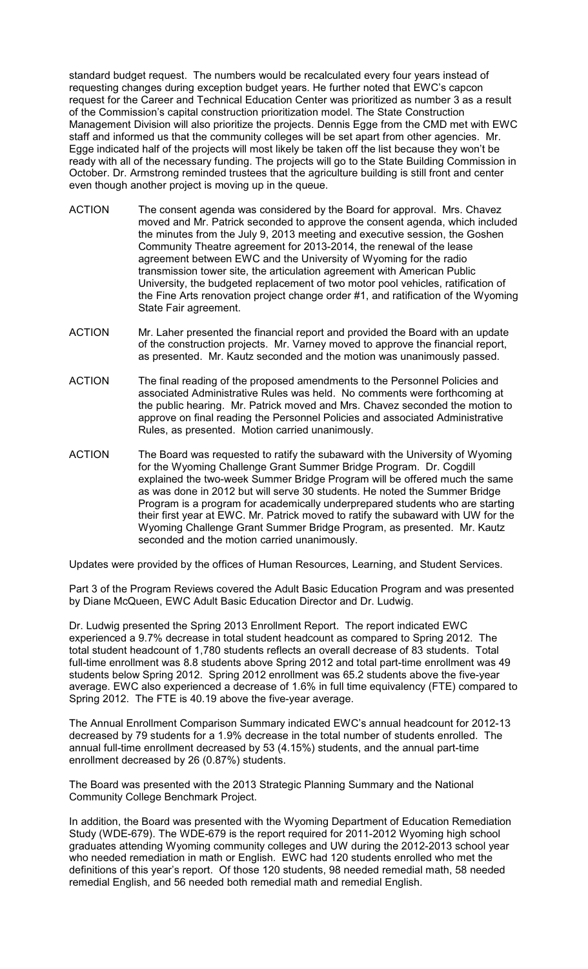standard budget request. The numbers would be recalculated every four years instead of requesting changes during exception budget years. He further noted that EWC's capcon request for the Career and Technical Education Center was prioritized as number 3 as a result of the Commission's capital construction prioritization model. The State Construction Management Division will also prioritize the projects. Dennis Egge from the CMD met with EWC staff and informed us that the community colleges will be set apart from other agencies. Mr. Egge indicated half of the projects will most likely be taken off the list because they won't be ready with all of the necessary funding. The projects will go to the State Building Commission in October. Dr. Armstrong reminded trustees that the agriculture building is still front and center even though another project is moving up in the queue.

- ACTION The consent agenda was considered by the Board for approval. Mrs. Chavez moved and Mr. Patrick seconded to approve the consent agenda, which included the minutes from the July 9, 2013 meeting and executive session, the Goshen Community Theatre agreement for 2013-2014, the renewal of the lease agreement between EWC and the University of Wyoming for the radio transmission tower site, the articulation agreement with American Public University, the budgeted replacement of two motor pool vehicles, ratification of the Fine Arts renovation project change order #1, and ratification of the Wyoming State Fair agreement.
- ACTION Mr. Laher presented the financial report and provided the Board with an update of the construction projects. Mr. Varney moved to approve the financial report, as presented. Mr. Kautz seconded and the motion was unanimously passed.
- ACTION The final reading of the proposed amendments to the Personnel Policies and associated Administrative Rules was held. No comments were forthcoming at the public hearing. Mr. Patrick moved and Mrs. Chavez seconded the motion to approve on final reading the Personnel Policies and associated Administrative Rules, as presented. Motion carried unanimously.
- ACTION The Board was requested to ratify the subaward with the University of Wyoming for the Wyoming Challenge Grant Summer Bridge Program. Dr. Cogdill explained the two-week Summer Bridge Program will be offered much the same as was done in 2012 but will serve 30 students. He noted the Summer Bridge Program is a program for academically underprepared students who are starting their first year at EWC. Mr. Patrick moved to ratify the subaward with UW for the Wyoming Challenge Grant Summer Bridge Program, as presented. Mr. Kautz seconded and the motion carried unanimously.

Updates were provided by the offices of Human Resources, Learning, and Student Services.

Part 3 of the Program Reviews covered the Adult Basic Education Program and was presented by Diane McQueen, EWC Adult Basic Education Director and Dr. Ludwig.

Dr. Ludwig presented the Spring 2013 Enrollment Report. The report indicated EWC experienced a 9.7% decrease in total student headcount as compared to Spring 2012. The total student headcount of 1,780 students reflects an overall decrease of 83 students. Total full-time enrollment was 8.8 students above Spring 2012 and total part-time enrollment was 49 students below Spring 2012. Spring 2012 enrollment was 65.2 students above the five-year average. EWC also experienced a decrease of 1.6% in full time equivalency (FTE) compared to Spring 2012. The FTE is 40.19 above the five-year average.

The Annual Enrollment Comparison Summary indicated EWC's annual headcount for 2012-13 decreased by 79 students for a 1.9% decrease in the total number of students enrolled. The annual full-time enrollment decreased by 53 (4.15%) students, and the annual part-time enrollment decreased by 26 (0.87%) students.

The Board was presented with the 2013 Strategic Planning Summary and the National Community College Benchmark Project.

In addition, the Board was presented with the Wyoming Department of Education Remediation Study (WDE-679). The WDE-679 is the report required for 2011-2012 Wyoming high school graduates attending Wyoming community colleges and UW during the 2012-2013 school year who needed remediation in math or English. EWC had 120 students enrolled who met the definitions of this year's report. Of those 120 students, 98 needed remedial math, 58 needed remedial English, and 56 needed both remedial math and remedial English.